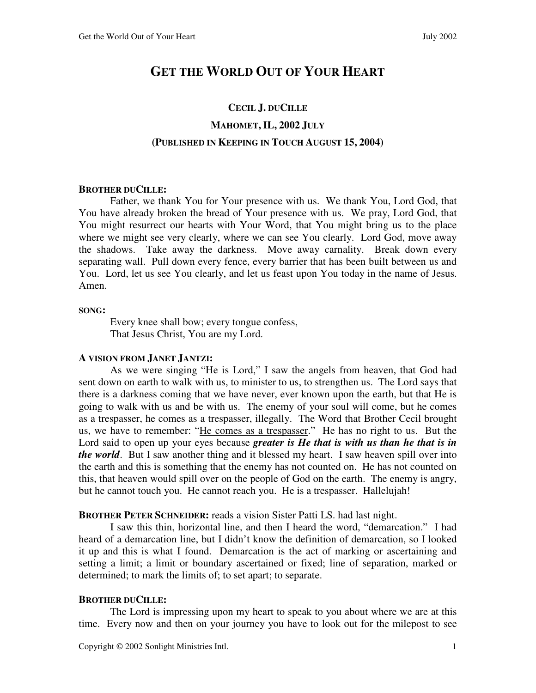# **GET THE WORLD OUT OF YOUR HEART**

# **CECIL J. DUCILLE MAHOMET, IL, 2002 JULY (PUBLISHED IN KEEPING IN TOUCH AUGUST 15, 2004)**

### **BROTHER DUCILLE:**

 Father, we thank You for Your presence with us. We thank You, Lord God, that You have already broken the bread of Your presence with us. We pray, Lord God, that You might resurrect our hearts with Your Word, that You might bring us to the place where we might see very clearly, where we can see You clearly. Lord God, move away the shadows. Take away the darkness. Move away carnality. Break down every separating wall. Pull down every fence, every barrier that has been built between us and You. Lord, let us see You clearly, and let us feast upon You today in the name of Jesus. Amen.

### **SONG:**

 Every knee shall bow; every tongue confess, That Jesus Christ, You are my Lord.

# **A VISION FROM JANET JANTZI:**

 As we were singing "He is Lord," I saw the angels from heaven, that God had sent down on earth to walk with us, to minister to us, to strengthen us. The Lord says that there is a darkness coming that we have never, ever known upon the earth, but that He is going to walk with us and be with us. The enemy of your soul will come, but he comes as a trespasser, he comes as a trespasser, illegally. The Word that Brother Cecil brought us, we have to remember: "He comes as a trespasser." He has no right to us. But the Lord said to open up your eyes because *greater is He that is with us than he that is in the world*. But I saw another thing and it blessed my heart. I saw heaven spill over into the earth and this is something that the enemy has not counted on. He has not counted on this, that heaven would spill over on the people of God on the earth. The enemy is angry, but he cannot touch you. He cannot reach you. He is a trespasser. Hallelujah!

**BROTHER PETER SCHNEIDER:** reads a vision Sister Patti LS. had last night.

 I saw this thin, horizontal line, and then I heard the word, "demarcation." I had heard of a demarcation line, but I didn't know the definition of demarcation, so I looked it up and this is what I found. Demarcation is the act of marking or ascertaining and setting a limit; a limit or boundary ascertained or fixed; line of separation, marked or determined; to mark the limits of; to set apart; to separate.

# **BROTHER DUCILLE:**

 The Lord is impressing upon my heart to speak to you about where we are at this time. Every now and then on your journey you have to look out for the milepost to see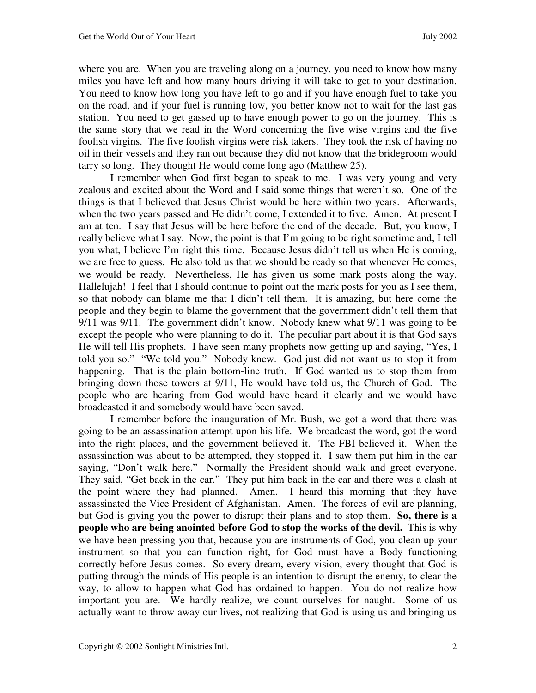where you are. When you are traveling along on a journey, you need to know how many miles you have left and how many hours driving it will take to get to your destination. You need to know how long you have left to go and if you have enough fuel to take you on the road, and if your fuel is running low, you better know not to wait for the last gas station. You need to get gassed up to have enough power to go on the journey. This is the same story that we read in the Word concerning the five wise virgins and the five foolish virgins. The five foolish virgins were risk takers. They took the risk of having no oil in their vessels and they ran out because they did not know that the bridegroom would tarry so long. They thought He would come long ago (Matthew 25).

 I remember when God first began to speak to me. I was very young and very zealous and excited about the Word and I said some things that weren't so. One of the things is that I believed that Jesus Christ would be here within two years. Afterwards, when the two years passed and He didn't come, I extended it to five. Amen. At present I am at ten. I say that Jesus will be here before the end of the decade. But, you know, I really believe what I say. Now, the point is that I'm going to be right sometime and, I tell you what, I believe I'm right this time. Because Jesus didn't tell us when He is coming, we are free to guess. He also told us that we should be ready so that whenever He comes, we would be ready. Nevertheless, He has given us some mark posts along the way. Hallelujah! I feel that I should continue to point out the mark posts for you as I see them, so that nobody can blame me that I didn't tell them. It is amazing, but here come the people and they begin to blame the government that the government didn't tell them that 9/11 was 9/11. The government didn't know. Nobody knew what 9/11 was going to be except the people who were planning to do it. The peculiar part about it is that God says He will tell His prophets. I have seen many prophets now getting up and saying, "Yes, I told you so." "We told you." Nobody knew. God just did not want us to stop it from happening. That is the plain bottom-line truth. If God wanted us to stop them from bringing down those towers at 9/11, He would have told us, the Church of God. The people who are hearing from God would have heard it clearly and we would have broadcasted it and somebody would have been saved.

 I remember before the inauguration of Mr. Bush, we got a word that there was going to be an assassination attempt upon his life. We broadcast the word, got the word into the right places, and the government believed it. The FBI believed it. When the assassination was about to be attempted, they stopped it. I saw them put him in the car saying, "Don't walk here." Normally the President should walk and greet everyone. They said, "Get back in the car." They put him back in the car and there was a clash at the point where they had planned. Amen. I heard this morning that they have assassinated the Vice President of Afghanistan. Amen. The forces of evil are planning, but God is giving you the power to disrupt their plans and to stop them. **So, there is a people who are being anointed before God to stop the works of the devil.** This is why we have been pressing you that, because you are instruments of God, you clean up your instrument so that you can function right, for God must have a Body functioning correctly before Jesus comes. So every dream, every vision, every thought that God is putting through the minds of His people is an intention to disrupt the enemy, to clear the way, to allow to happen what God has ordained to happen. You do not realize how important you are. We hardly realize, we count ourselves for naught. Some of us actually want to throw away our lives, not realizing that God is using us and bringing us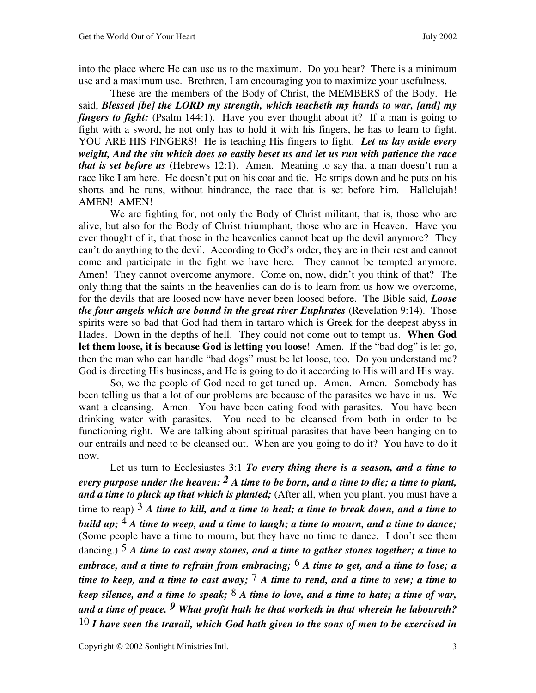into the place where He can use us to the maximum.Do you hear?There is a minimum use and a maximum use. Brethren, I am encouraging you to maximize your usefulness.

 These are the members of the Body of Christ, the MEMBERS of the Body. He said, *Blessed [be] the LORD my strength, which teacheth my hands to war, [and] my fingers to fight:* (Psalm 144:1). Have you ever thought about it? If a man is going to fight with a sword, he not only has to hold it with his fingers, he has to learn to fight. YOU ARE HIS FINGERS! He is teaching His fingers to fight. *Let us lay aside every weight, And the sin which does so easily beset us and let us run with patience the race that is set before us* (Hebrews 12:1). Amen. Meaning to say that a man doesn't run a race like I am here. He doesn't put on his coat and tie. He strips down and he puts on his shorts and he runs, without hindrance, the race that is set before him. Hallelujah! AMEN! AMEN!

We are fighting for, not only the Body of Christ militant, that is, those who are alive, but also for the Body of Christ triumphant, those who are in Heaven. Have you ever thought of it, that those in the heavenlies cannot beat up the devil anymore? They can't do anything to the devil. According to God's order, they are in their rest and cannot come and participate in the fight we have here. They cannot be tempted anymore. Amen! They cannot overcome anymore. Come on, now, didn't you think of that? The only thing that the saints in the heavenlies can do is to learn from us how we overcome, for the devils that are loosed now have never been loosed before. The Bible said, *Loose the four angels which are bound in the great river Euphrates (Revelation 9:14). Those* spirits were so bad that God had them in tartaro which is Greek for the deepest abyss in Hades. Down in the depths of hell. They could not come out to tempt us. **When God let them loose, it is because God is letting you loose**! Amen. If the "bad dog" is let go, then the man who can handle "bad dogs" must be let loose, too. Do you understand me? God is directing His business, and He is going to do it according to His will and His way.

 So, we the people of God need to get tuned up. Amen. Amen. Somebody has been telling us that a lot of our problems are because of the parasites we have in us. We want a cleansing. Amen. You have been eating food with parasites. You have been drinking water with parasites. You need to be cleansed from both in order to be functioning right. We are talking about spiritual parasites that have been hanging on to our entrails and need to be cleansed out. When are you going to do it? You have to do it now.

 Let us turn to Ecclesiastes 3:1 *To every thing there is a season, and a time to every purpose under the heaven: 2 A time to be born, and a time to die; a time to plant, and a time to pluck up that which is planted;* (After all, when you plant, you must have a time to reap) 3 *A time to kill, and a time to heal; a time to break down, and a time to build up;* 4 *A time to weep, and a time to laugh; a time to mourn, and a time to dance;* (Some people have a time to mourn, but they have no time to dance. I don't see them dancing.) 5 *A time to cast away stones, and a time to gather stones together; a time to embrace, and a time to refrain from embracing;* 6 *A time to get, and a time to lose; a time to keep, and a time to cast away;* 7 *A time to rend, and a time to sew; a time to keep silence, and a time to speak;* 8 *A time to love, and a time to hate; a time of war, and a time of peace. 9 What profit hath he that worketh in that wherein he laboureth?*  10 *I have seen the travail, which God hath given to the sons of men to be exercised in*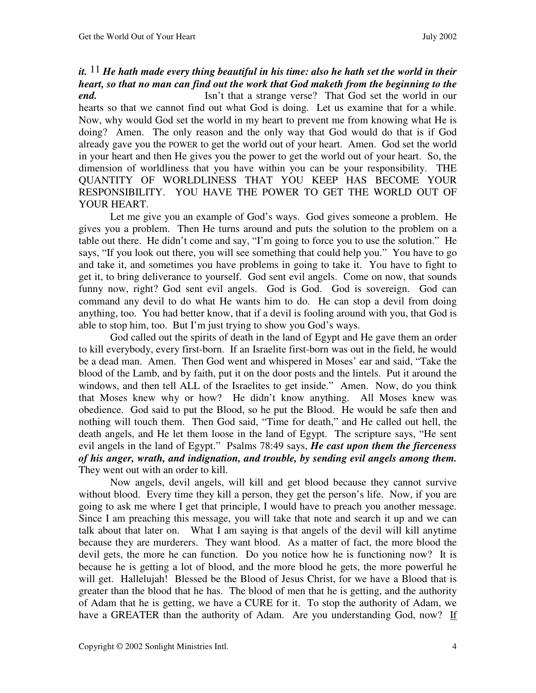it.  $^{11}$  *He hath made every thing beautiful in his time: also he hath set the world in their heart, so that no man can find out the work that God maketh from the beginning to the* 

*end.* Isn't that a strange verse? That God set the world in our hearts so that we cannot find out what God is doing. Let us examine that for a while. Now, why would God set the world in my heart to prevent me from knowing what He is doing? Amen. The only reason and the only way that God would do that is if God already gave you the POWER to get the world out of your heart. Amen. God set the world in your heart and then He gives you the power to get the world out of your heart. So, the dimension of worldliness that you have within you can be your responsibility. THE QUANTITY OF WORLDLINESS THAT YOU KEEP HAS BECOME YOUR RESPONSIBILITY. YOU HAVE THE POWER TO GET THE WORLD OUT OF YOUR HEART.

 Let me give you an example of God's ways. God gives someone a problem. He gives you a problem. Then He turns around and puts the solution to the problem on a table out there. He didn't come and say, "I'm going to force you to use the solution." He says, "If you look out there, you will see something that could help you." You have to go and take it, and sometimes you have problems in going to take it. You have to fight to get it, to bring deliverance to yourself. God sent evil angels. Come on now, that sounds funny now, right? God sent evil angels. God is God. God is sovereign. God can command any devil to do what He wants him to do. He can stop a devil from doing anything, too. You had better know, that if a devil is fooling around with you, that God is able to stop him, too. But I'm just trying to show you God's ways.

 God called out the spirits of death in the land of Egypt and He gave them an order to kill everybody, every first-born. If an Israelite first-born was out in the field, he would be a dead man. Amen. Then God went and whispered in Moses' ear and said, "Take the blood of the Lamb, and by faith, put it on the door posts and the lintels. Put it around the windows, and then tell ALL of the Israelites to get inside." Amen. Now, do you think that Moses knew why or how? He didn't know anything. All Moses knew was obedience. God said to put the Blood, so he put the Blood. He would be safe then and nothing will touch them. Then God said, "Time for death," and He called out hell, the death angels, and He let them loose in the land of Egypt. The scripture says, "He sent evil angels in the land of Egypt." Psalms 78:49 says, *He cast upon them the fierceness of his anger, wrath, and indignation, and trouble, by sending evil angels among them.* They went out with an order to kill.

 Now angels, devil angels, will kill and get blood because they cannot survive without blood. Every time they kill a person, they get the person's life. Now, if you are going to ask me where I get that principle, I would have to preach you another message. Since I am preaching this message, you will take that note and search it up and we can talk about that later on. What I am saying is that angels of the devil will kill anytime because they are murderers. They want blood. As a matter of fact, the more blood the devil gets, the more he can function. Do you notice how he is functioning now? It is because he is getting a lot of blood, and the more blood he gets, the more powerful he will get. Hallelujah! Blessed be the Blood of Jesus Christ, for we have a Blood that is greater than the blood that he has. The blood of men that he is getting, and the authority of Adam that he is getting, we have a CURE for it. To stop the authority of Adam, we have a GREATER than the authority of Adam. Are you understanding God, now? If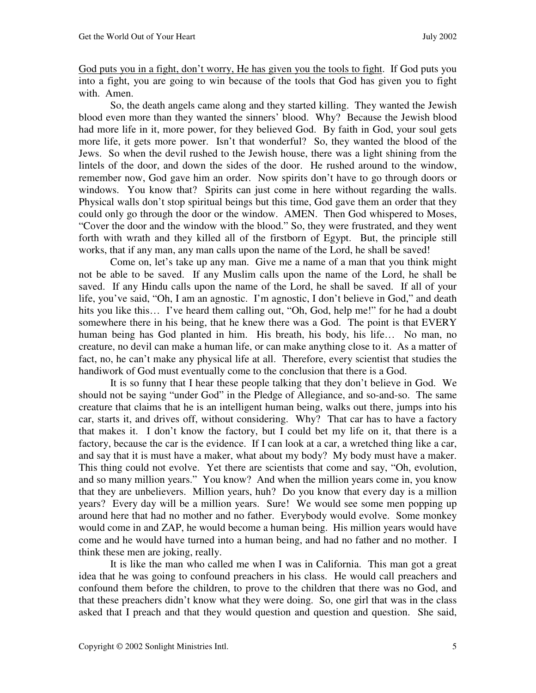God puts you in a fight, don't worry, He has given you the tools to fight. If God puts you into a fight, you are going to win because of the tools that God has given you to fight with. Amen.

 So, the death angels came along and they started killing. They wanted the Jewish blood even more than they wanted the sinners' blood. Why? Because the Jewish blood had more life in it, more power, for they believed God. By faith in God, your soul gets more life, it gets more power. Isn't that wonderful? So, they wanted the blood of the Jews. So when the devil rushed to the Jewish house, there was a light shining from the lintels of the door, and down the sides of the door. He rushed around to the window, remember now, God gave him an order. Now spirits don't have to go through doors or windows. You know that? Spirits can just come in here without regarding the walls. Physical walls don't stop spiritual beings but this time, God gave them an order that they could only go through the door or the window. AMEN. Then God whispered to Moses, "Cover the door and the window with the blood." So, they were frustrated, and they went forth with wrath and they killed all of the firstborn of Egypt. But, the principle still works, that if any man, any man calls upon the name of the Lord, he shall be saved!

 Come on, let's take up any man. Give me a name of a man that you think might not be able to be saved. If any Muslim calls upon the name of the Lord, he shall be saved. If any Hindu calls upon the name of the Lord, he shall be saved. If all of your life, you've said, "Oh, I am an agnostic. I'm agnostic, I don't believe in God," and death hits you like this... I've heard them calling out, "Oh, God, help me!" for he had a doubt somewhere there in his being, that he knew there was a God. The point is that EVERY human being has God planted in him. His breath, his body, his life... No man, no creature, no devil can make a human life, or can make anything close to it. As a matter of fact, no, he can't make any physical life at all. Therefore, every scientist that studies the handiwork of God must eventually come to the conclusion that there is a God.

 It is so funny that I hear these people talking that they don't believe in God. We should not be saying "under God" in the Pledge of Allegiance, and so-and-so. The same creature that claims that he is an intelligent human being, walks out there, jumps into his car, starts it, and drives off, without considering. Why? That car has to have a factory that makes it. I don't know the factory, but I could bet my life on it, that there is a factory, because the car is the evidence. If I can look at a car, a wretched thing like a car, and say that it is must have a maker, what about my body? My body must have a maker. This thing could not evolve. Yet there are scientists that come and say, "Oh, evolution, and so many million years." You know? And when the million years come in, you know that they are unbelievers. Million years, huh? Do you know that every day is a million years? Every day will be a million years. Sure! We would see some men popping up around here that had no mother and no father. Everybody would evolve. Some monkey would come in and ZAP, he would become a human being. His million years would have come and he would have turned into a human being, and had no father and no mother. I think these men are joking, really.

 It is like the man who called me when I was in California. This man got a great idea that he was going to confound preachers in his class. He would call preachers and confound them before the children, to prove to the children that there was no God, and that these preachers didn't know what they were doing. So, one girl that was in the class asked that I preach and that they would question and question and question. She said,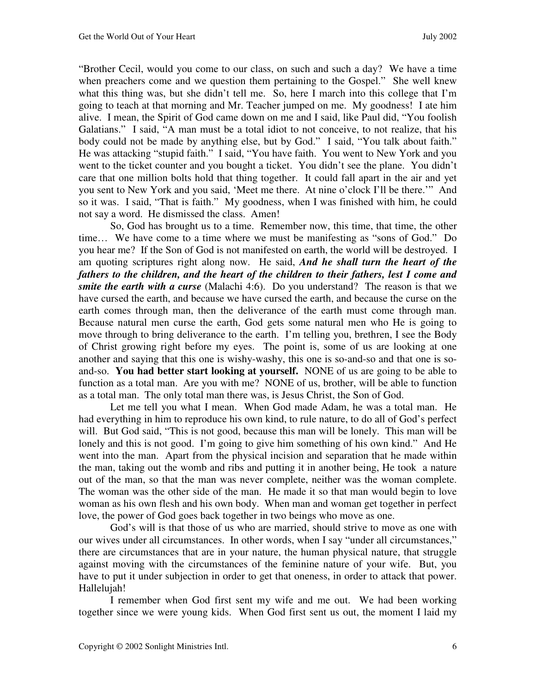"Brother Cecil, would you come to our class, on such and such a day? We have a time when preachers come and we question them pertaining to the Gospel." She well knew what this thing was, but she didn't tell me. So, here I march into this college that I'm going to teach at that morning and Mr. Teacher jumped on me. My goodness! I ate him alive. I mean, the Spirit of God came down on me and I said, like Paul did, "You foolish Galatians." I said, "A man must be a total idiot to not conceive, to not realize, that his body could not be made by anything else, but by God." I said, "You talk about faith." He was attacking "stupid faith." I said, "You have faith. You went to New York and you went to the ticket counter and you bought a ticket. You didn't see the plane. You didn't care that one million bolts hold that thing together. It could fall apart in the air and yet you sent to New York and you said, 'Meet me there. At nine o'clock I'll be there.'" And so it was. I said, "That is faith." My goodness, when I was finished with him, he could not say a word. He dismissed the class. Amen!

 So, God has brought us to a time. Remember now, this time, that time, the other time… We have come to a time where we must be manifesting as "sons of God." Do you hear me? If the Son of God is not manifested on earth, the world will be destroyed. I am quoting scriptures right along now. He said, *And he shall turn the heart of the fathers to the children, and the heart of the children to their fathers, lest I come and smite the earth with a curse* (Malachi 4:6). Do you understand? The reason is that we have cursed the earth, and because we have cursed the earth, and because the curse on the earth comes through man, then the deliverance of the earth must come through man. Because natural men curse the earth, God gets some natural men who He is going to move through to bring deliverance to the earth. I'm telling you, brethren, I see the Body of Christ growing right before my eyes. The point is, some of us are looking at one another and saying that this one is wishy-washy, this one is so-and-so and that one is soand-so. **You had better start looking at yourself.** NONE of us are going to be able to function as a total man. Are you with me? NONE of us, brother, will be able to function as a total man. The only total man there was, is Jesus Christ, the Son of God.

 Let me tell you what I mean. When God made Adam, he was a total man. He had everything in him to reproduce his own kind, to rule nature, to do all of God's perfect will. But God said, "This is not good, because this man will be lonely. This man will be lonely and this is not good. I'm going to give him something of his own kind." And He went into the man. Apart from the physical incision and separation that he made within the man, taking out the womb and ribs and putting it in another being, He took a nature out of the man, so that the man was never complete, neither was the woman complete. The woman was the other side of the man. He made it so that man would begin to love woman as his own flesh and his own body. When man and woman get together in perfect love, the power of God goes back together in two beings who move as one.

 God's will is that those of us who are married, should strive to move as one with our wives under all circumstances. In other words, when I say "under all circumstances," there are circumstances that are in your nature, the human physical nature, that struggle against moving with the circumstances of the feminine nature of your wife. But, you have to put it under subjection in order to get that oneness, in order to attack that power. Hallelujah!

 I remember when God first sent my wife and me out. We had been working together since we were young kids. When God first sent us out, the moment I laid my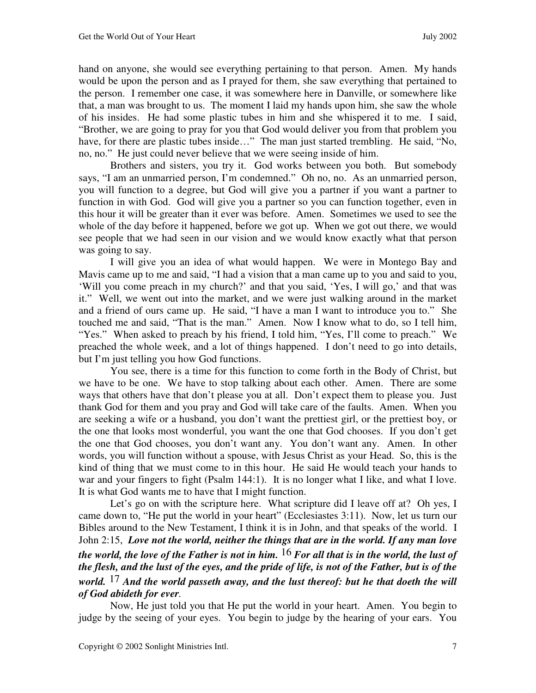hand on anyone, she would see everything pertaining to that person. Amen. My hands would be upon the person and as I prayed for them, she saw everything that pertained to the person. I remember one case, it was somewhere here in Danville, or somewhere like that, a man was brought to us. The moment I laid my hands upon him, she saw the whole of his insides. He had some plastic tubes in him and she whispered it to me. I said, "Brother, we are going to pray for you that God would deliver you from that problem you have, for there are plastic tubes inside..." The man just started trembling. He said, "No, no, no." He just could never believe that we were seeing inside of him.

 Brothers and sisters, you try it. God works between you both. But somebody says, "I am an unmarried person, I'm condemned." Oh no, no. As an unmarried person, you will function to a degree, but God will give you a partner if you want a partner to function in with God. God will give you a partner so you can function together, even in this hour it will be greater than it ever was before. Amen. Sometimes we used to see the whole of the day before it happened, before we got up. When we got out there, we would see people that we had seen in our vision and we would know exactly what that person was going to say.

 I will give you an idea of what would happen. We were in Montego Bay and Mavis came up to me and said, "I had a vision that a man came up to you and said to you, 'Will you come preach in my church?' and that you said, 'Yes, I will go,' and that was it." Well, we went out into the market, and we were just walking around in the market and a friend of ours came up. He said, "I have a man I want to introduce you to." She touched me and said, "That is the man." Amen. Now I know what to do, so I tell him, "Yes." When asked to preach by his friend, I told him, "Yes, I'll come to preach." We preached the whole week, and a lot of things happened. I don't need to go into details, but I'm just telling you how God functions.

 You see, there is a time for this function to come forth in the Body of Christ, but we have to be one. We have to stop talking about each other. Amen. There are some ways that others have that don't please you at all. Don't expect them to please you. Just thank God for them and you pray and God will take care of the faults. Amen. When you are seeking a wife or a husband, you don't want the prettiest girl, or the prettiest boy, or the one that looks most wonderful, you want the one that God chooses. If you don't get the one that God chooses, you don't want any. You don't want any. Amen. In other words, you will function without a spouse, with Jesus Christ as your Head. So, this is the kind of thing that we must come to in this hour. He said He would teach your hands to war and your fingers to fight (Psalm 144:1). It is no longer what I like, and what I love. It is what God wants me to have that I might function.

Let's go on with the scripture here. What scripture did I leave off at? Oh yes, I came down to, "He put the world in your heart" (Ecclesiastes 3:11). Now, let us turn our Bibles around to the New Testament, I think it is in John, and that speaks of the world. I John 2:15, *Love not the world, neither the things that are in the world. If any man love the world, the love of the Father is not in him.* 16 *For all that is in the world, the lust of the flesh, and the lust of the eyes, and the pride of life, is not of the Father, but is of the world.* 17 *And the world passeth away, and the lust thereof: but he that doeth the will of God abideth for ever.* 

 Now, He just told you that He put the world in your heart. Amen. You begin to judge by the seeing of your eyes. You begin to judge by the hearing of your ears. You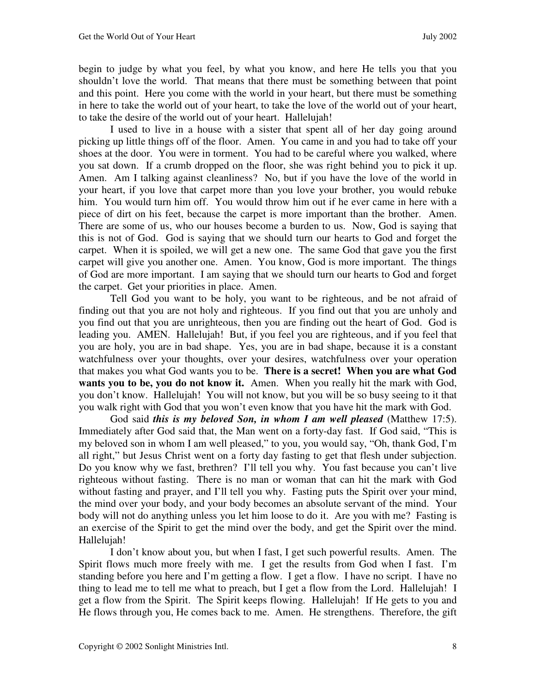begin to judge by what you feel, by what you know, and here He tells you that you shouldn't love the world. That means that there must be something between that point and this point. Here you come with the world in your heart, but there must be something in here to take the world out of your heart, to take the love of the world out of your heart, to take the desire of the world out of your heart. Hallelujah!

 I used to live in a house with a sister that spent all of her day going around picking up little things off of the floor. Amen. You came in and you had to take off your shoes at the door. You were in torment. You had to be careful where you walked, where you sat down. If a crumb dropped on the floor, she was right behind you to pick it up. Amen. Am I talking against cleanliness? No, but if you have the love of the world in your heart, if you love that carpet more than you love your brother, you would rebuke him. You would turn him off. You would throw him out if he ever came in here with a piece of dirt on his feet, because the carpet is more important than the brother. Amen. There are some of us, who our houses become a burden to us. Now, God is saying that this is not of God. God is saying that we should turn our hearts to God and forget the carpet. When it is spoiled, we will get a new one. The same God that gave you the first carpet will give you another one. Amen. You know, God is more important. The things of God are more important. I am saying that we should turn our hearts to God and forget the carpet. Get your priorities in place.Amen.

 Tell God you want to be holy, you want to be righteous, and be not afraid of finding out that you are not holy and righteous. If you find out that you are unholy and you find out that you are unrighteous, then you are finding out the heart of God. God is leading you. AMEN. Hallelujah! But, if you feel you are righteous, and if you feel that you are holy, you are in bad shape. Yes, you are in bad shape, because it is a constant watchfulness over your thoughts, over your desires, watchfulness over your operation that makes you what God wants you to be. **There is a secret! When you are what God wants you to be, you do not know it.** Amen. When you really hit the mark with God, you don't know. Hallelujah! You will not know, but you will be so busy seeing to it that you walk right with God that you won't even know that you have hit the mark with God.

 God said *this is my beloved Son, in whom I am well pleased* (Matthew 17:5). Immediately after God said that, the Man went on a forty-day fast. If God said, "This is my beloved son in whom I am well pleased," to you, you would say, "Oh, thank God, I'm all right," but Jesus Christ went on a forty day fasting to get that flesh under subjection. Do you know why we fast, brethren? I'll tell you why. You fast because you can't live righteous without fasting. There is no man or woman that can hit the mark with God without fasting and prayer, and I'll tell you why. Fasting puts the Spirit over your mind, the mind over your body, and your body becomes an absolute servant of the mind. Your body will not do anything unless you let him loose to do it. Are you with me? Fasting is an exercise of the Spirit to get the mind over the body, and get the Spirit over the mind. Hallelujah!

 I don't know about you, but when I fast, I get such powerful results. Amen. The Spirit flows much more freely with me. I get the results from God when I fast. I'm standing before you here and I'm getting a flow. I get a flow. I have no script. I have no thing to lead me to tell me what to preach, but I get a flow from the Lord. Hallelujah! I get a flow from the Spirit. The Spirit keeps flowing. Hallelujah! If He gets to you and He flows through you, He comes back to me. Amen. He strengthens. Therefore, the gift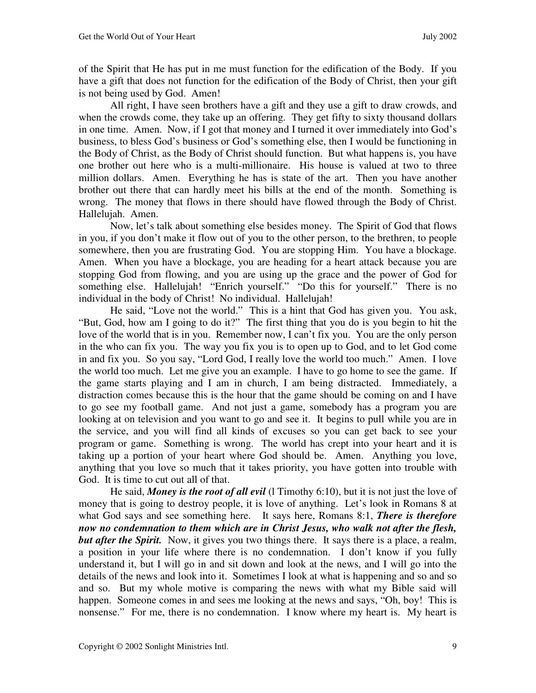of the Spirit that He has put in me must function for the edification of the Body. If you have a gift that does not function for the edification of the Body of Christ, then your gift is not being used by God. Amen!

 All right, I have seen brothers have a gift and they use a gift to draw crowds, and when the crowds come, they take up an offering. They get fifty to sixty thousand dollars in one time. Amen. Now, if I got that money and I turned it over immediately into God's business, to bless God's business or God's something else, then I would be functioning in the Body of Christ, as the Body of Christ should function. But what happens is, you have one brother out here who is a multi-millionaire. His house is valued at two to three million dollars. Amen. Everything he has is state of the art. Then you have another brother out there that can hardly meet his bills at the end of the month. Something is wrong. The money that flows in there should have flowed through the Body of Christ. Hallelujah. Amen.

 Now, let's talk about something else besides money. The Spirit of God that flows in you, if you don't make it flow out of you to the other person, to the brethren, to people somewhere, then you are frustrating God. You are stopping Him. You have a blockage. Amen. When you have a blockage, you are heading for a heart attack because you are stopping God from flowing, and you are using up the grace and the power of God for something else. Hallelujah! "Enrich yourself." "Do this for yourself." There is no individual in the body of Christ! No individual. Hallelujah!

 He said, "Love not the world." This is a hint that God has given you. You ask, "But, God, how am I going to do it?" The first thing that you do is you begin to hit the love of the world that is in you. Remember now, I can't fix you. You are the only person in the who can fix you. The way you fix you is to open up to God, and to let God come in and fix you. So you say, "Lord God, I really love the world too much." Amen. I love the world too much. Let me give you an example. I have to go home to see the game. If the game starts playing and I am in church, I am being distracted. Immediately, a distraction comes because this is the hour that the game should be coming on and I have to go see my football game. And not just a game, somebody has a program you are looking at on television and you want to go and see it. It begins to pull while you are in the service, and you will find all kinds of excuses so you can get back to see your program or game. Something is wrong. The world has crept into your heart and it is taking up a portion of your heart where God should be. Amen. Anything you love, anything that you love so much that it takes priority, you have gotten into trouble with God. It is time to cut out all of that.

He said, *Money is the root of all evil* (1 Timothy 6:10), but it is not just the love of money that is going to destroy people, it is love of anything. Let's look in Romans 8 at what God says and see something here. It says here, Romans 8:1, *There is therefore now no condemnation to them which are in Christ Jesus, who walk not after the flesh, but after the Spirit.* Now, it gives you two things there. It says there is a place, a realm, a position in your life where there is no condemnation. I don't know if you fully understand it, but I will go in and sit down and look at the news, and I will go into the details of the news and look into it. Sometimes I look at what is happening and so and so and so. But my whole motive is comparing the news with what my Bible said will happen. Someone comes in and sees me looking at the news and says, "Oh, boy! This is nonsense." For me, there is no condemnation. I know where my heart is. My heart is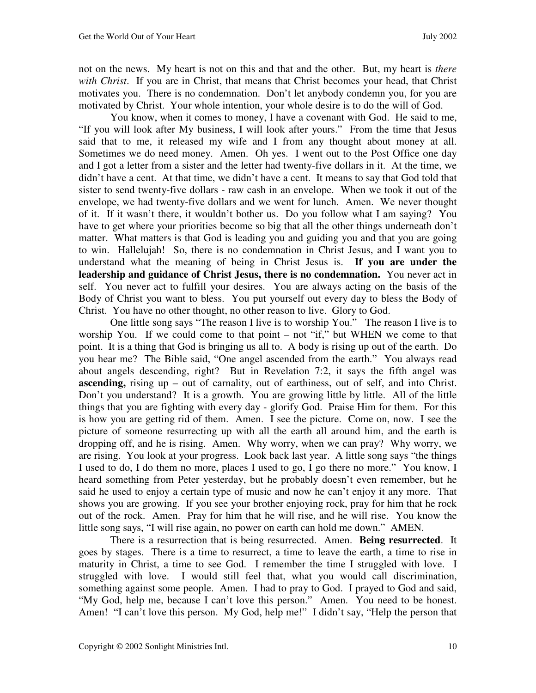not on the news. My heart is not on this and that and the other. But, my heart is *there with Christ*. If you are in Christ, that means that Christ becomes your head, that Christ motivates you. There is no condemnation. Don't let anybody condemn you, for you are motivated by Christ. Your whole intention, your whole desire is to do the will of God.

 You know, when it comes to money, I have a covenant with God. He said to me, "If you will look after My business, I will look after yours." From the time that Jesus said that to me, it released my wife and I from any thought about money at all. Sometimes we do need money. Amen. Oh yes. I went out to the Post Office one day and I got a letter from a sister and the letter had twenty-five dollars in it. At the time, we didn't have a cent. At that time, we didn't have a cent. It means to say that God told that sister to send twenty-five dollars - raw cash in an envelope. When we took it out of the envelope, we had twenty-five dollars and we went for lunch. Amen. We never thought of it. If it wasn't there, it wouldn't bother us. Do you follow what I am saying? You have to get where your priorities become so big that all the other things underneath don't matter. What matters is that God is leading you and guiding you and that you are going to win. Hallelujah! So, there is no condemnation in Christ Jesus, and I want you to understand what the meaning of being in Christ Jesus is. **If you are under the leadership and guidance of Christ Jesus, there is no condemnation.** You never act in self. You never act to fulfill your desires. You are always acting on the basis of the Body of Christ you want to bless. You put yourself out every day to bless the Body of Christ. You have no other thought, no other reason to live. Glory to God.

 One little song says "The reason I live is to worship You."The reason I live is to worship You. If we could come to that point – not "if," but WHEN we come to that point. It is a thing that God is bringing us all to. A body is rising up out of the earth. Do you hear me? The Bible said, "One angel ascended from the earth." You always read about angels descending, right? But in Revelation 7:2, it says the fifth angel was **ascending,** rising up – out of carnality, out of earthiness, out of self, and into Christ. Don't you understand? It is a growth. You are growing little by little. All of the little things that you are fighting with every day - glorify God. Praise Him for them. For this is how you are getting rid of them. Amen. I see the picture. Come on, now. I see the picture of someone resurrecting up with all the earth all around him, and the earth is dropping off, and he is rising. Amen. Why worry, when we can pray? Why worry, we are rising. You look at your progress. Look back last year. A little song says "the things I used to do, I do them no more, places I used to go, I go there no more." You know, I heard something from Peter yesterday, but he probably doesn't even remember, but he said he used to enjoy a certain type of music and now he can't enjoy it any more. That shows you are growing. If you see your brother enjoying rock, pray for him that he rock out of the rock. Amen. Pray for him that he will rise, and he will rise. You know the little song says, "I will rise again, no power on earth can hold me down." AMEN.

 There is a resurrection that is being resurrected. Amen. **Being resurrected**. It goes by stages. There is a time to resurrect, a time to leave the earth, a time to rise in maturity in Christ, a time to see God. I remember the time I struggled with love. I struggled with love. I would still feel that, what you would call discrimination, something against some people. Amen. I had to pray to God. I prayed to God and said, "My God, help me, because I can't love this person." Amen. You need to be honest. Amen! "I can't love this person. My God, help me!" I didn't say, "Help the person that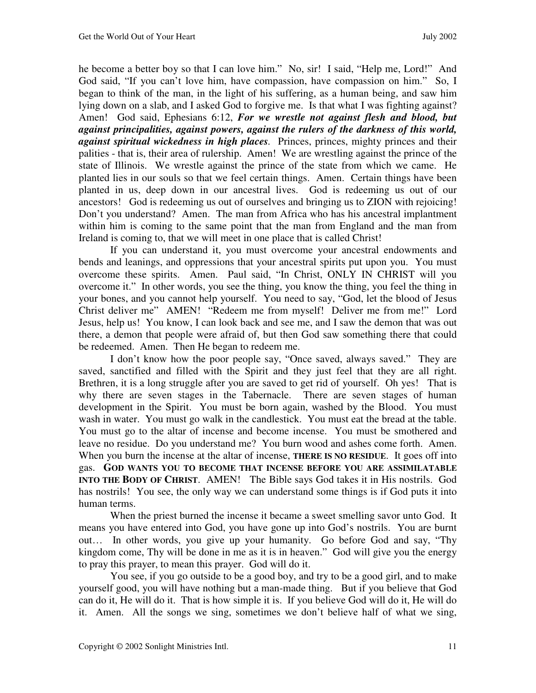he become a better boy so that I can love him." No, sir! I said, "Help me, Lord!" And God said, "If you can't love him, have compassion, have compassion on him." So, I began to think of the man, in the light of his suffering, as a human being, and saw him lying down on a slab, and I asked God to forgive me. Is that what I was fighting against? Amen! God said, Ephesians 6:12, *For we wrestle not against flesh and blood, but against principalities, against powers, against the rulers of the darkness of this world, against spiritual wickedness in high places.* Princes, princes, mighty princes and their palities - that is, their area of rulership. Amen! We are wrestling against the prince of the state of Illinois. We wrestle against the prince of the state from which we came. He planted lies in our souls so that we feel certain things. Amen. Certain things have been planted in us, deep down in our ancestral lives. God is redeeming us out of our ancestors! God is redeeming us out of ourselves and bringing us to ZION with rejoicing! Don't you understand? Amen. The man from Africa who has his ancestral implantment within him is coming to the same point that the man from England and the man from Ireland is coming to, that we will meet in one place that is called Christ!

 If you can understand it, you must overcome your ancestral endowments and bends and leanings, and oppressions that your ancestral spirits put upon you. You must overcome these spirits. Amen. Paul said, "In Christ, ONLY IN CHRIST will you overcome it." In other words, you see the thing, you know the thing, you feel the thing in your bones, and you cannot help yourself. You need to say, "God, let the blood of Jesus Christ deliver me" AMEN! "Redeem me from myself! Deliver me from me!" Lord Jesus, help us! You know, I can look back and see me, and I saw the demon that was out there, a demon that people were afraid of, but then God saw something there that could be redeemed. Amen. Then He began to redeem me.

 I don't know how the poor people say, "Once saved, always saved." They are saved, sanctified and filled with the Spirit and they just feel that they are all right. Brethren, it is a long struggle after you are saved to get rid of yourself. Oh yes! That is why there are seven stages in the Tabernacle. There are seven stages of human development in the Spirit. You must be born again, washed by the Blood. You must wash in water. You must go walk in the candlestick. You must eat the bread at the table. You must go to the altar of incense and become incense. You must be smothered and leave no residue. Do you understand me? You burn wood and ashes come forth. Amen. When you burn the incense at the altar of incense, **THERE IS NO RESIDUE**. It goes off into gas. **GOD WANTS YOU TO BECOME THAT INCENSE BEFORE YOU ARE ASSIMILATABLE INTO THE BODY OF CHRIST**. AMEN! The Bible says God takes it in His nostrils. God has nostrils! You see, the only way we can understand some things is if God puts it into human terms.

 When the priest burned the incense it became a sweet smelling savor unto God. It means you have entered into God, you have gone up into God's nostrils. You are burnt out… In other words, you give up your humanity. Go before God and say, "Thy kingdom come, Thy will be done in me as it is in heaven." God will give you the energy to pray this prayer, to mean this prayer. God will do it.

 You see, if you go outside to be a good boy, and try to be a good girl, and to make yourself good, you will have nothing but a man-made thing. But if you believe that God can do it, He will do it. That is how simple it is. If you believe God will do it, He will do it. Amen. All the songs we sing, sometimes we don't believe half of what we sing,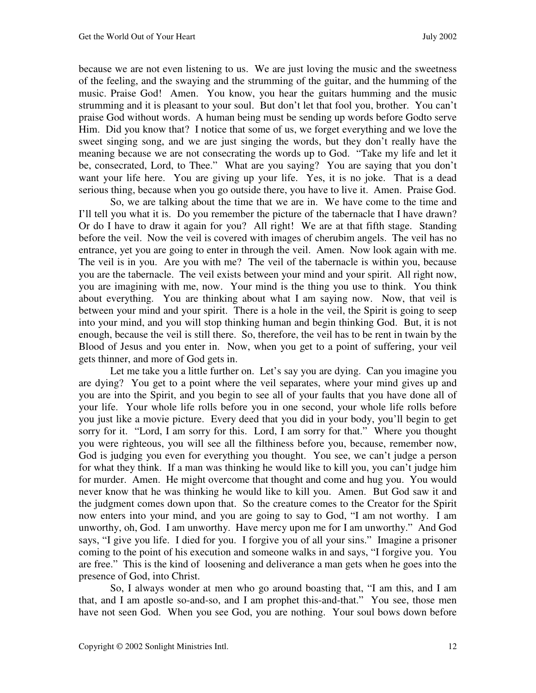because we are not even listening to us. We are just loving the music and the sweetness of the feeling, and the swaying and the strumming of the guitar, and the humming of the music. Praise God! Amen. You know, you hear the guitars humming and the music strumming and it is pleasant to your soul. But don't let that fool you, brother. You can't praise God without words. A human being must be sending up words before Godto serve Him. Did you know that? I notice that some of us, we forget everything and we love the sweet singing song, and we are just singing the words, but they don't really have the meaning because we are not consecrating the words up to God. "Take my life and let it be, consecrated, Lord, to Thee." What are you saying? You are saying that you don't want your life here. You are giving up your life. Yes, it is no joke. That is a dead serious thing, because when you go outside there, you have to live it. Amen. Praise God.

 So, we are talking about the time that we are in. We have come to the time and I'll tell you what it is. Do you remember the picture of the tabernacle that I have drawn? Or do I have to draw it again for you? All right! We are at that fifth stage. Standing before the veil. Now the veil is covered with images of cherubim angels. The veil has no entrance, yet you are going to enter in through the veil. Amen. Now look again with me. The veil is in you. Are you with me? The veil of the tabernacle is within you, because you are the tabernacle. The veil exists between your mind and your spirit. All right now, you are imagining with me, now. Your mind is the thing you use to think. You think about everything. You are thinking about what I am saying now. Now, that veil is between your mind and your spirit. There is a hole in the veil, the Spirit is going to seep into your mind, and you will stop thinking human and begin thinking God. But, it is not enough, because the veil is still there. So, therefore, the veil has to be rent in twain by the Blood of Jesus and you enter in. Now, when you get to a point of suffering, your veil gets thinner, and more of God gets in.

Let me take you a little further on. Let's say you are dying. Can you imagine you are dying? You get to a point where the veil separates, where your mind gives up and you are into the Spirit, and you begin to see all of your faults that you have done all of your life. Your whole life rolls before you in one second, your whole life rolls before you just like a movie picture. Every deed that you did in your body, you'll begin to get sorry for it. "Lord, I am sorry for this. Lord, I am sorry for that." Where you thought you were righteous, you will see all the filthiness before you, because, remember now, God is judging you even for everything you thought. You see, we can't judge a person for what they think. If a man was thinking he would like to kill you, you can't judge him for murder. Amen. He might overcome that thought and come and hug you. You would never know that he was thinking he would like to kill you. Amen. But God saw it and the judgment comes down upon that. So the creature comes to the Creator for the Spirit now enters into your mind, and you are going to say to God, "I am not worthy. I am unworthy, oh, God. I am unworthy. Have mercy upon me for I am unworthy." And God says, "I give you life. I died for you. I forgive you of all your sins." Imagine a prisoner coming to the point of his execution and someone walks in and says, "I forgive you. You are free." This is the kind of loosening and deliverance a man gets when he goes into the presence of God, into Christ.

 So, I always wonder at men who go around boasting that, "I am this, and I am that, and I am apostle so-and-so, and I am prophet this-and-that." You see, those men have not seen God. When you see God, you are nothing. Your soul bows down before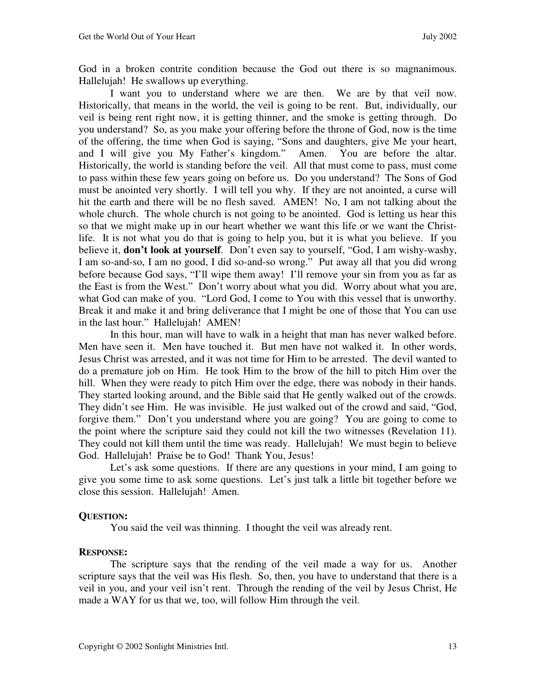God in a broken contrite condition because the God out there is so magnanimous. Hallelujah! He swallows up everything.

 I want you to understand where we are then. We are by that veil now. Historically, that means in the world, the veil is going to be rent. But, individually, our veil is being rent right now, it is getting thinner, and the smoke is getting through. Do you understand? So, as you make your offering before the throne of God, now is the time of the offering, the time when God is saying, "Sons and daughters, give Me your heart, and I will give you My Father's kingdom." Amen. You are before the altar. Historically, the world is standing before the veil. All that must come to pass, must come to pass within these few years going on before us. Do you understand? The Sons of God must be anointed very shortly. I will tell you why. If they are not anointed, a curse will hit the earth and there will be no flesh saved. AMEN! No, I am not talking about the whole church. The whole church is not going to be anointed. God is letting us hear this so that we might make up in our heart whether we want this life or we want the Christlife. It is not what you do that is going to help you, but it is what you believe. If you believe it, **don't look at yourself**. Don't even say to yourself, "God, I am wishy-washy, I am so-and-so, I am no good, I did so-and-so wrong." Put away all that you did wrong before because God says, "I'll wipe them away! I'll remove your sin from you as far as the East is from the West." Don't worry about what you did. Worry about what you are, what God can make of you. "Lord God, I come to You with this vessel that is unworthy. Break it and make it and bring deliverance that I might be one of those that You can use in the last hour." Hallelujah! AMEN!

 In this hour, man will have to walk in a height that man has never walked before. Men have seen it. Men have touched it. But men have not walked it. In other words, Jesus Christ was arrested, and it was not time for Him to be arrested. The devil wanted to do a premature job on Him. He took Him to the brow of the hill to pitch Him over the hill. When they were ready to pitch Him over the edge, there was nobody in their hands. They started looking around, and the Bible said that He gently walked out of the crowds. They didn't see Him. He was invisible. He just walked out of the crowd and said, "God, forgive them." Don't you understand where you are going? You are going to come to the point where the scripture said they could not kill the two witnesses (Revelation 11). They could not kill them until the time was ready. Hallelujah! We must begin to believe God. Hallelujah! Praise be to God! Thank You, Jesus!

Let's ask some questions. If there are any questions in your mind, I am going to give you some time to ask some questions. Let's just talk a little bit together before we close this session. Hallelujah! Amen.

### **QUESTION:**

You said the veil was thinning. I thought the veil was already rent.

#### **RESPONSE:**

 The scripture says that the rending of the veil made a way for us. Another scripture says that the veil was His flesh. So, then, you have to understand that there is a veil in you, and your veil isn't rent. Through the rending of the veil by Jesus Christ, He made a WAY for us that we, too, will follow Him through the veil.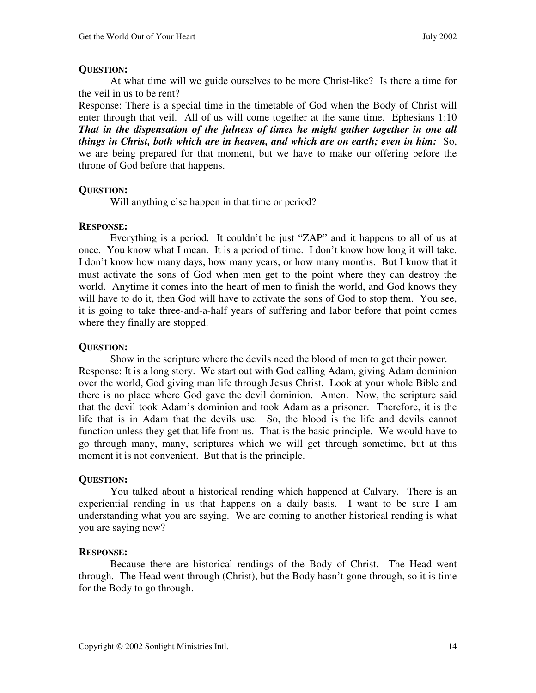# **QUESTION:**

 At what time will we guide ourselves to be more Christ-like? Is there a time for the veil in us to be rent?

Response: There is a special time in the timetable of God when the Body of Christ will enter through that veil. All of us will come together at the same time. Ephesians 1:10 *That in the dispensation of the fulness of times he might gather together in one all things in Christ, both which are in heaven, and which are on earth; even in him:* So, we are being prepared for that moment, but we have to make our offering before the throne of God before that happens.

# **QUESTION:**

Will anything else happen in that time or period?

# **RESPONSE:**

 Everything is a period. It couldn't be just "ZAP" and it happens to all of us at once. You know what I mean. It is a period of time. I don't know how long it will take. I don't know how many days, how many years, or how many months. But I know that it must activate the sons of God when men get to the point where they can destroy the world. Anytime it comes into the heart of men to finish the world, and God knows they will have to do it, then God will have to activate the sons of God to stop them. You see, it is going to take three-and-a-half years of suffering and labor before that point comes where they finally are stopped.

# **QUESTION:**

 Show in the scripture where the devils need the blood of men to get their power. Response: It is a long story. We start out with God calling Adam, giving Adam dominion over the world, God giving man life through Jesus Christ. Look at your whole Bible and there is no place where God gave the devil dominion. Amen. Now, the scripture said that the devil took Adam's dominion and took Adam as a prisoner. Therefore, it is the life that is in Adam that the devils use. So, the blood is the life and devils cannot function unless they get that life from us. That is the basic principle. We would have to go through many, many, scriptures which we will get through sometime, but at this moment it is not convenient. But that is the principle.

# **QUESTION:**

 You talked about a historical rending which happened at Calvary. There is an experiential rending in us that happens on a daily basis. I want to be sure I am understanding what you are saying. We are coming to another historical rending is what you are saying now?

# **RESPONSE:**

 Because there are historical rendings of the Body of Christ. The Head went through. The Head went through (Christ), but the Body hasn't gone through, so it is time for the Body to go through.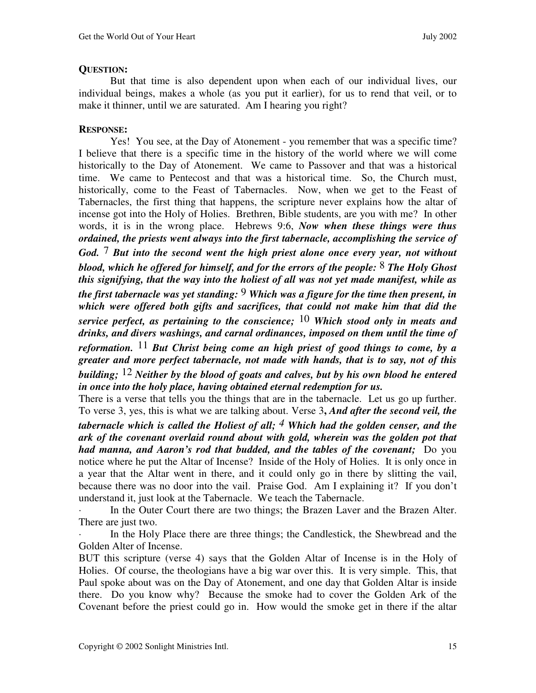# **QUESTION:**

 But that time is also dependent upon when each of our individual lives, our individual beings, makes a whole (as you put it earlier), for us to rend that veil, or to make it thinner, until we are saturated. Am I hearing you right?

# **RESPONSE:**

 Yes! You see, at the Day of Atonement - you remember that was a specific time? I believe that there is a specific time in the history of the world where we will come historically to the Day of Atonement. We came to Passover and that was a historical time. We came to Pentecost and that was a historical time. So, the Church must, historically, come to the Feast of Tabernacles. Now, when we get to the Feast of Tabernacles, the first thing that happens, the scripture never explains how the altar of incense got into the Holy of Holies. Brethren, Bible students, are you with me? In other words, it is in the wrong place. Hebrews 9:6, *Now when these things were thus ordained, the priests went always into the first tabernacle, accomplishing the service of God.* 7 *But into the second went the high priest alone once every year, not without blood, which he offered for himself, and for the errors of the people:* 8 *The Holy Ghost this signifying, that the way into the holiest of all was not yet made manifest, while as the first tabernacle was yet standing:* 9 *Which was a figure for the time then present, in which were offered both gifts and sacrifices, that could not make him that did the service perfect, as pertaining to the conscience;* 10 *Which stood only in meats and drinks, and divers washings, and carnal ordinances, imposed on them until the time of reformation.* 11 *But Christ being come an high priest of good things to come, by a greater and more perfect tabernacle, not made with hands, that is to say, not of this building;* 12 *Neither by the blood of goats and calves, but by his own blood he entered in once into the holy place, having obtained eternal redemption for us.* 

There is a verse that tells you the things that are in the tabernacle. Let us go up further. To verse 3, yes, this is what we are talking about. Verse 3**,** *And after the second veil, the* 

*tabernacle which is called the Holiest of all; <sup>4</sup> Which had the golden censer, and the ark of the covenant overlaid round about with gold, wherein was the golden pot that had manna, and Aaron's rod that budded, and the tables of the covenant;* Do you notice where he put the Altar of Incense? Inside of the Holy of Holies. It is only once in a year that the Altar went in there, and it could only go in there by slitting the vail, because there was no door into the vail. Praise God. Am I explaining it? If you don't understand it, just look at the Tabernacle. We teach the Tabernacle.

In the Outer Court there are two things; the Brazen Laver and the Brazen Alter. There are just two.

In the Holy Place there are three things; the Candlestick, the Shewbread and the Golden Alter of Incense.

BUT this scripture (verse 4) says that the Golden Altar of Incense is in the Holy of Holies. Of course, the theologians have a big war over this. It is very simple. This, that Paul spoke about was on the Day of Atonement, and one day that Golden Altar is inside there. Do you know why? Because the smoke had to cover the Golden Ark of the Covenant before the priest could go in. How would the smoke get in there if the altar